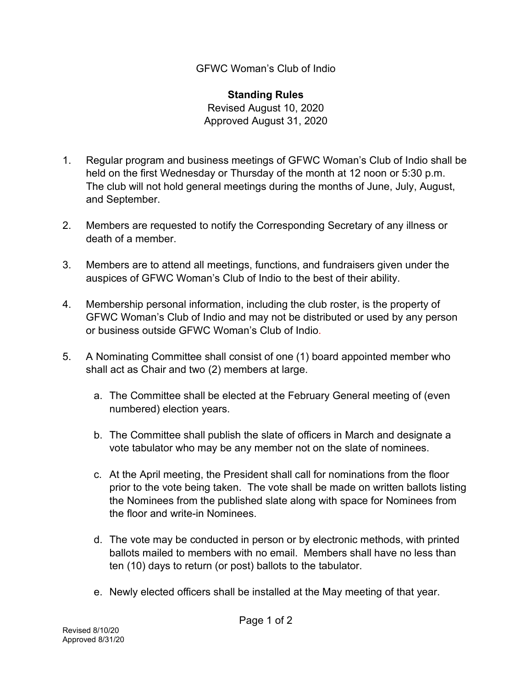GFWC Woman's Club of Indio

**Standing Rules**  Revised August 10, 2020 Approved August 31, 2020

- 1. Regular program and business meetings of GFWC Woman's Club of Indio shall be held on the first Wednesday or Thursday of the month at 12 noon or 5:30 p.m. The club will not hold general meetings during the months of June, July, August, and September.
- 2. Members are requested to notify the Corresponding Secretary of any illness or death of a member.
- 3. Members are to attend all meetings, functions, and fundraisers given under the auspices of GFWC Woman's Club of Indio to the best of their ability.
- 4. Membership personal information, including the club roster, is the property of GFWC Woman's Club of Indio and may not be distributed or used by any person or business outside GFWC Woman's Club of Indio.
- 5. A Nominating Committee shall consist of one (1) board appointed member who shall act as Chair and two (2) members at large.
	- a. The Committee shall be elected at the February General meeting of (even numbered) election years.
	- b. The Committee shall publish the slate of officers in March and designate a vote tabulator who may be any member not on the slate of nominees.
	- c. At the April meeting, the President shall call for nominations from the floor prior to the vote being taken. The vote shall be made on written ballots listing the Nominees from the published slate along with space for Nominees from the floor and write-in Nominees.
	- d. The vote may be conducted in person or by electronic methods, with printed ballots mailed to members with no email. Members shall have no less than ten (10) days to return (or post) ballots to the tabulator.
	- e. Newly elected officers shall be installed at the May meeting of that year.